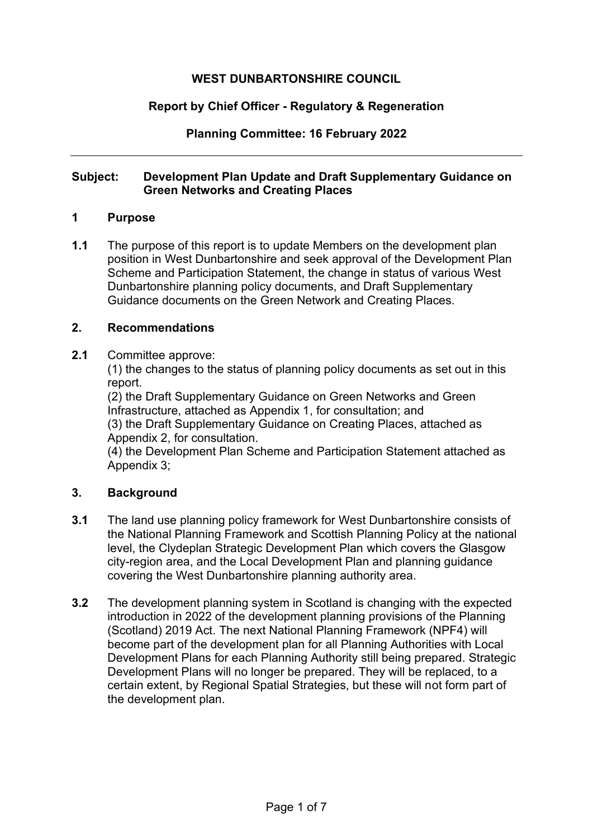# **WEST DUNBARTONSHIRE COUNCIL**

## **Report by Chief Officer - Regulatory & Regeneration**

**Planning Committee: 16 February 2022** 

#### **Subject: Development Plan Update and Draft Supplementary Guidance on Green Networks and Creating Places**

#### **1 Purpose**

**1.1** The purpose of this report is to update Members on the development plan position in West Dunbartonshire and seek approval of the Development Plan Scheme and Participation Statement, the change in status of various West Dunbartonshire planning policy documents, and Draft Supplementary Guidance documents on the Green Network and Creating Places.

#### **2. Recommendations**

#### **2.1** Committee approve:

(1) the changes to the status of planning policy documents as set out in this report.

(2) the Draft Supplementary Guidance on Green Networks and Green Infrastructure, attached as Appendix 1, for consultation; and (3) the Draft Supplementary Guidance on Creating Places, attached as Appendix 2, for consultation.

(4) the Development Plan Scheme and Participation Statement attached as Appendix 3;

#### **3. Background**

- **3.1** The land use planning policy framework for West Dunbartonshire consists of the National Planning Framework and Scottish Planning Policy at the national level, the Clydeplan Strategic Development Plan which covers the Glasgow city-region area, and the Local Development Plan and planning guidance covering the West Dunbartonshire planning authority area.
- **3.2** The development planning system in Scotland is changing with the expected introduction in 2022 of the development planning provisions of the Planning (Scotland) 2019 Act. The next National Planning Framework (NPF4) will become part of the development plan for all Planning Authorities with Local Development Plans for each Planning Authority still being prepared. Strategic Development Plans will no longer be prepared. They will be replaced, to a certain extent, by Regional Spatial Strategies, but these will not form part of the development plan.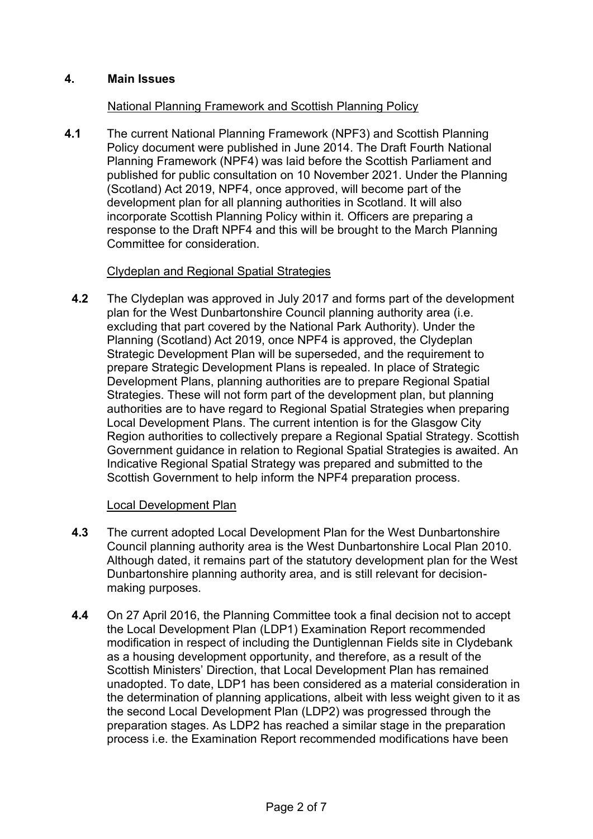# **4. Main Issues**

## National Planning Framework and Scottish Planning Policy

**4.1** The current National Planning Framework (NPF3) and Scottish Planning Policy document were published in June 2014. The Draft Fourth National Planning Framework (NPF4) was laid before the Scottish Parliament and published for public consultation on 10 November 2021. Under the Planning (Scotland) Act 2019, NPF4, once approved, will become part of the development plan for all planning authorities in Scotland. It will also incorporate Scottish Planning Policy within it. Officers are preparing a response to the Draft NPF4 and this will be brought to the March Planning Committee for consideration.

## Clydeplan and Regional Spatial Strategies

**4.2** The Clydeplan was approved in July 2017 and forms part of the development plan for the West Dunbartonshire Council planning authority area (i.e. excluding that part covered by the National Park Authority). Under the Planning (Scotland) Act 2019, once NPF4 is approved, the Clydeplan Strategic Development Plan will be superseded, and the requirement to prepare Strategic Development Plans is repealed. In place of Strategic Development Plans, planning authorities are to prepare Regional Spatial Strategies. These will not form part of the development plan, but planning authorities are to have regard to Regional Spatial Strategies when preparing Local Development Plans. The current intention is for the Glasgow City Region authorities to collectively prepare a Regional Spatial Strategy. Scottish Government guidance in relation to Regional Spatial Strategies is awaited. An Indicative Regional Spatial Strategy was prepared and submitted to the Scottish Government to help inform the NPF4 preparation process.

#### Local Development Plan

- **4.3** The current adopted Local Development Plan for the West Dunbartonshire Council planning authority area is the West Dunbartonshire Local Plan 2010. Although dated, it remains part of the statutory development plan for the West Dunbartonshire planning authority area, and is still relevant for decisionmaking purposes.
- **4.4** On 27 April 2016, the Planning Committee took a final decision not to accept the Local Development Plan (LDP1) Examination Report recommended modification in respect of including the Duntiglennan Fields site in Clydebank as a housing development opportunity, and therefore, as a result of the Scottish Ministers' Direction, that Local Development Plan has remained unadopted. To date, LDP1 has been considered as a material consideration in the determination of planning applications, albeit with less weight given to it as the second Local Development Plan (LDP2) was progressed through the preparation stages. As LDP2 has reached a similar stage in the preparation process i.e. the Examination Report recommended modifications have been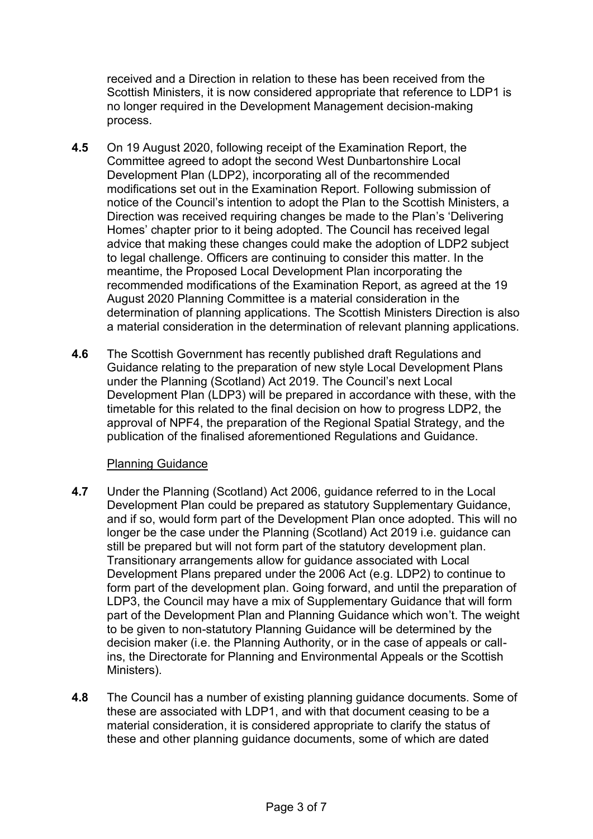received and a Direction in relation to these has been received from the Scottish Ministers, it is now considered appropriate that reference to LDP1 is no longer required in the Development Management decision-making process.

- **4.5** On 19 August 2020, following receipt of the Examination Report, the Committee agreed to adopt the second West Dunbartonshire Local Development Plan (LDP2), incorporating all of the recommended modifications set out in the Examination Report. Following submission of notice of the Council's intention to adopt the Plan to the Scottish Ministers, a Direction was received requiring changes be made to the Plan's 'Delivering Homes' chapter prior to it being adopted. The Council has received legal advice that making these changes could make the adoption of LDP2 subject to legal challenge. Officers are continuing to consider this matter. In the meantime, the Proposed Local Development Plan incorporating the recommended modifications of the Examination Report, as agreed at the 19 August 2020 Planning Committee is a material consideration in the determination of planning applications. The Scottish Ministers Direction is also a material consideration in the determination of relevant planning applications.
- **4.6** The Scottish Government has recently published draft Regulations and Guidance relating to the preparation of new style Local Development Plans under the Planning (Scotland) Act 2019. The Council's next Local Development Plan (LDP3) will be prepared in accordance with these, with the timetable for this related to the final decision on how to progress LDP2, the approval of NPF4, the preparation of the Regional Spatial Strategy, and the publication of the finalised aforementioned Regulations and Guidance.

#### Planning Guidance

- **4.7** Under the Planning (Scotland) Act 2006, guidance referred to in the Local Development Plan could be prepared as statutory Supplementary Guidance, and if so, would form part of the Development Plan once adopted. This will no longer be the case under the Planning (Scotland) Act 2019 i.e. guidance can still be prepared but will not form part of the statutory development plan. Transitionary arrangements allow for guidance associated with Local Development Plans prepared under the 2006 Act (e.g. LDP2) to continue to form part of the development plan. Going forward, and until the preparation of LDP3, the Council may have a mix of Supplementary Guidance that will form part of the Development Plan and Planning Guidance which won't. The weight to be given to non-statutory Planning Guidance will be determined by the decision maker (i.e. the Planning Authority, or in the case of appeals or callins, the Directorate for Planning and Environmental Appeals or the Scottish Ministers).
- **4.8** The Council has a number of existing planning guidance documents. Some of these are associated with LDP1, and with that document ceasing to be a material consideration, it is considered appropriate to clarify the status of these and other planning guidance documents, some of which are dated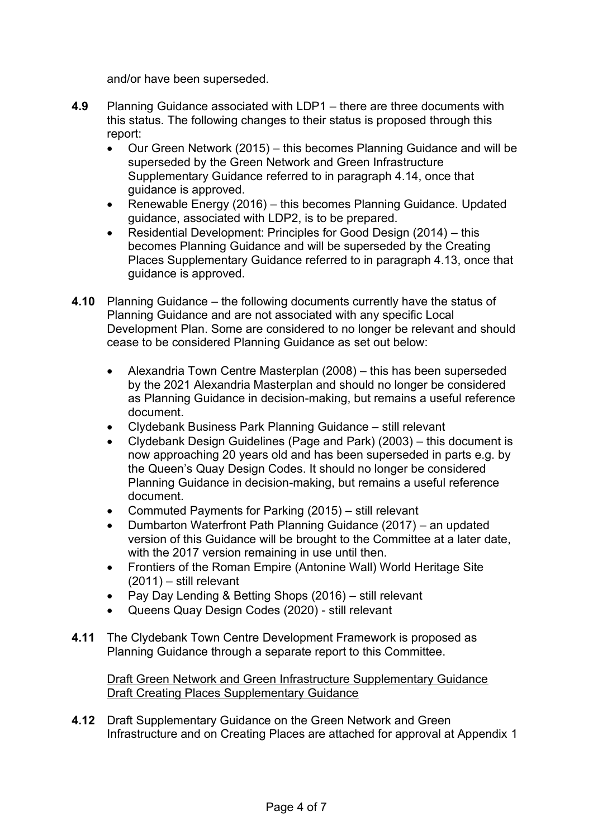and/or have been superseded.

- **4.9** Planning Guidance associated with LDP1 there are three documents with this status. The following changes to their status is proposed through this report:
	- Our Green Network (2015) this becomes Planning Guidance and will be superseded by the Green Network and Green Infrastructure Supplementary Guidance referred to in paragraph 4.14, once that guidance is approved.
	- Renewable Energy (2016) this becomes Planning Guidance. Updated guidance, associated with LDP2, is to be prepared.
	- Residential Development: Principles for Good Design (2014) this becomes Planning Guidance and will be superseded by the Creating Places Supplementary Guidance referred to in paragraph 4.13, once that guidance is approved.
- **4.10** Planning Guidance the following documents currently have the status of Planning Guidance and are not associated with any specific Local Development Plan. Some are considered to no longer be relevant and should cease to be considered Planning Guidance as set out below:
	- Alexandria Town Centre Masterplan (2008) this has been superseded by the 2021 Alexandria Masterplan and should no longer be considered as Planning Guidance in decision-making, but remains a useful reference document.
	- Clydebank Business Park Planning Guidance still relevant
	- Clydebank Design Guidelines (Page and Park) (2003) this document is now approaching 20 years old and has been superseded in parts e.g. by the Queen's Quay Design Codes. It should no longer be considered Planning Guidance in decision-making, but remains a useful reference document.
	- Commuted Payments for Parking (2015) still relevant
	- Dumbarton Waterfront Path Planning Guidance (2017) an updated version of this Guidance will be brought to the Committee at a later date, with the 2017 version remaining in use until then.
	- Frontiers of the Roman Empire (Antonine Wall) World Heritage Site (2011) – still relevant
	- Pay Day Lending & Betting Shops (2016) still relevant
	- Queens Quay Design Codes (2020) still relevant
- **4.11** The Clydebank Town Centre Development Framework is proposed as Planning Guidance through a separate report to this Committee.

 Draft Green Network and Green Infrastructure Supplementary Guidance Draft Creating Places Supplementary Guidance

**4.12** Draft Supplementary Guidance on the Green Network and Green Infrastructure and on Creating Places are attached for approval at Appendix 1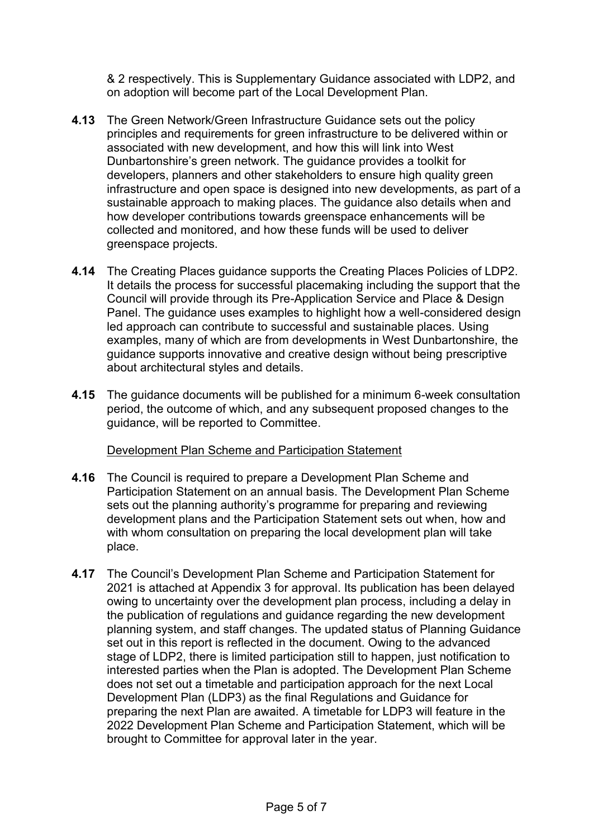& 2 respectively. This is Supplementary Guidance associated with LDP2, and on adoption will become part of the Local Development Plan.

- **4.13** The Green Network/Green Infrastructure Guidance sets out the policy principles and requirements for green infrastructure to be delivered within or associated with new development, and how this will link into West Dunbartonshire's green network. The guidance provides a toolkit for developers, planners and other stakeholders to ensure high quality green infrastructure and open space is designed into new developments, as part of a sustainable approach to making places. The guidance also details when and how developer contributions towards greenspace enhancements will be collected and monitored, and how these funds will be used to deliver greenspace projects.
- **4.14** The Creating Places guidance supports the Creating Places Policies of LDP2. It details the process for successful placemaking including the support that the Council will provide through its Pre-Application Service and Place & Design Panel. The guidance uses examples to highlight how a well-considered design led approach can contribute to successful and sustainable places. Using examples, many of which are from developments in West Dunbartonshire, the guidance supports innovative and creative design without being prescriptive about architectural styles and details.
- **4.15** The guidance documents will be published for a minimum 6-week consultation period, the outcome of which, and any subsequent proposed changes to the guidance, will be reported to Committee.

# Development Plan Scheme and Participation Statement

- **4.16** The Council is required to prepare a Development Plan Scheme and Participation Statement on an annual basis. The Development Plan Scheme sets out the planning authority's programme for preparing and reviewing development plans and the Participation Statement sets out when, how and with whom consultation on preparing the local development plan will take place.
- **4.17** The Council's Development Plan Scheme and Participation Statement for 2021 is attached at Appendix 3 for approval. Its publication has been delayed owing to uncertainty over the development plan process, including a delay in the publication of regulations and guidance regarding the new development planning system, and staff changes. The updated status of Planning Guidance set out in this report is reflected in the document. Owing to the advanced stage of LDP2, there is limited participation still to happen, just notification to interested parties when the Plan is adopted. The Development Plan Scheme does not set out a timetable and participation approach for the next Local Development Plan (LDP3) as the final Regulations and Guidance for preparing the next Plan are awaited. A timetable for LDP3 will feature in the 2022 Development Plan Scheme and Participation Statement, which will be brought to Committee for approval later in the year.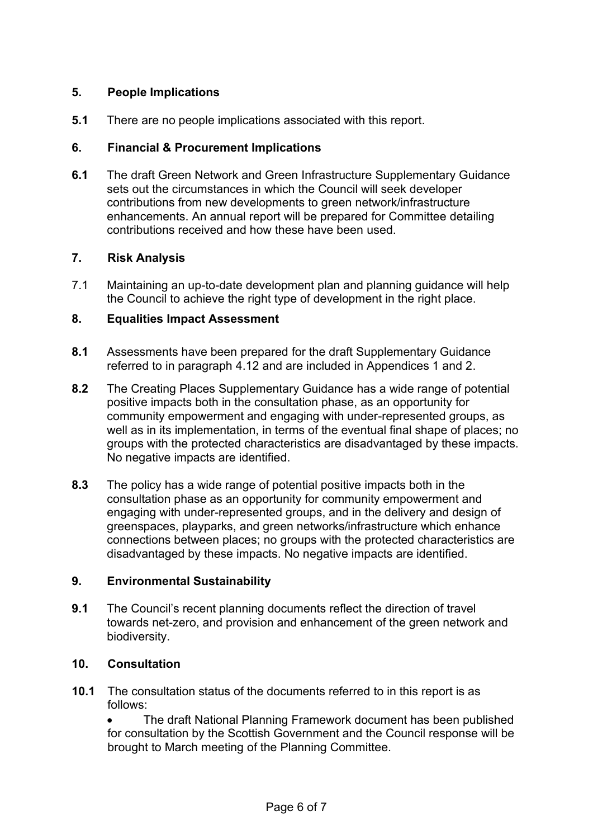## **5. People Implications**

**5.1** There are no people implications associated with this report.

## **6. Financial & Procurement Implications**

**6.1** The draft Green Network and Green Infrastructure Supplementary Guidance sets out the circumstances in which the Council will seek developer contributions from new developments to green network/infrastructure enhancements. An annual report will be prepared for Committee detailing contributions received and how these have been used.

# **7. Risk Analysis**

7.1 Maintaining an up-to-date development plan and planning guidance will help the Council to achieve the right type of development in the right place.

# **8. Equalities Impact Assessment**

- **8.1** Assessments have been prepared for the draft Supplementary Guidance referred to in paragraph 4.12 and are included in Appendices 1 and 2.
- **8.2** The Creating Places Supplementary Guidance has a wide range of potential positive impacts both in the consultation phase, as an opportunity for community empowerment and engaging with under-represented groups, as well as in its implementation, in terms of the eventual final shape of places; no groups with the protected characteristics are disadvantaged by these impacts. No negative impacts are identified.
- **8.3** The policy has a wide range of potential positive impacts both in the consultation phase as an opportunity for community empowerment and engaging with under-represented groups, and in the delivery and design of greenspaces, playparks, and green networks/infrastructure which enhance connections between places; no groups with the protected characteristics are disadvantaged by these impacts. No negative impacts are identified.

#### **9. Environmental Sustainability**

**9.1** The Council's recent planning documents reflect the direction of travel towards net-zero, and provision and enhancement of the green network and biodiversity.

#### **10. Consultation**

**10.1** The consultation status of the documents referred to in this report is as follows:

• The draft National Planning Framework document has been published for consultation by the Scottish Government and the Council response will be brought to March meeting of the Planning Committee.